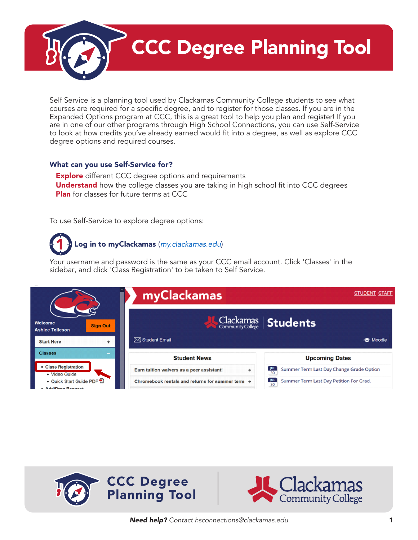CCC Degree Planning Tool

Self Service is a planning tool used by Clackamas Community College students to see what courses are required for a specific degree, and to register for those classes. If you are in the Expanded Options program at CCC, this is a great tool to help you plan and register! If you are in one of our other programs through High School Connections, you can use Self-Service to look at how credits you've already earned would fit into a degree, as well as explore CCC degree options and required courses.

### What can you use Self-Service for?

**Explore** different CCC degree options and requirements **Understand** how the college classes you are taking in high school fit into CCC degrees **Plan** for classes for future terms at CCC

To use Self-Service to explore degree options:

# Log in to myClackamas (*[my.clackamas.edu](http://my.clackamas.edu)*)

3 sidebar, and click 'Class Registration' to be taken to Self Service.Your username and password is the same as your CCC email account. Click 'Classes' in the





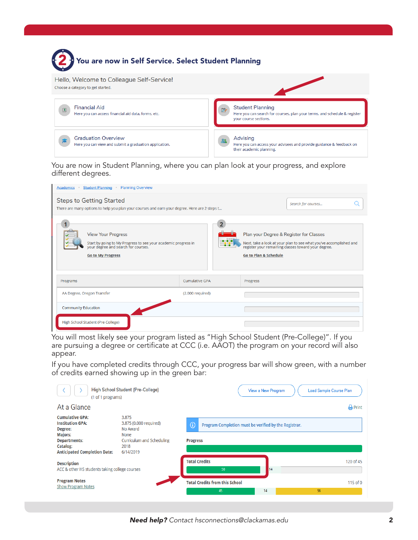

5 4

You are now in Student Planning, where you can plan look at your progress, and explore different degrees.

| <b>Student Planning</b><br><b>Planning Overview</b><br><b>Academics</b>                                                                                        |                       |                                                                                                                                                                                                          |
|----------------------------------------------------------------------------------------------------------------------------------------------------------------|-----------------------|----------------------------------------------------------------------------------------------------------------------------------------------------------------------------------------------------------|
| <b>Steps to Getting Started</b><br>There are many options to help you plan your courses and earn your degree. Here are 2 steps t                               |                       | Search for courses                                                                                                                                                                                       |
| <b>View Your Progress</b><br>Start by going to My Progress to see your academic progress in<br>your degree and search for courses.<br><b>Go to My Progress</b> |                       | Plan your Degree & Register for Classes<br>Next, take a look at your plan to see what you've accomplished and<br>register your remaining classes toward your degree.<br><b>Go to Plan &amp; Schedule</b> |
| Programs                                                                                                                                                       | <b>Cumulative GPA</b> | Progress                                                                                                                                                                                                 |
| AA Degree, Oregon Transfer                                                                                                                                     | (2.000 required)      |                                                                                                                                                                                                          |
| <b>Community Education</b>                                                                                                                                     |                       |                                                                                                                                                                                                          |
| High School Student (Pre-College)                                                                                                                              |                       |                                                                                                                                                                                                          |

You will most likely see your program listed as "High School Student (Pre-College)". If you are pursuing a degree or certificate at CCC (i.e. AAOT) the program on your record will also appear.

If you have completed credits through CCC, your progress bar will show green, with a number of credits earned showing up in the green bar:

| (1 of 1 programs)                                                    | High School Student (Pre-College)               | <b>View a New Program</b>                                  | <b>Load Sample Course Plan</b> |
|----------------------------------------------------------------------|-------------------------------------------------|------------------------------------------------------------|--------------------------------|
| At a Glance                                                          |                                                 |                                                            | <b>A</b> Print                 |
| <b>Cumulative GPA:</b><br><b>Institution GPA:</b><br>Degree:         | 3.875<br>3.875 (0.000 required)<br>No Award     | G<br>Program Completion must be verified by the Registrar. |                                |
| <b>Majors:</b><br><b>Departments:</b>                                | <b>None</b><br><b>Curriculum and Scheduling</b> | <b>Progress</b>                                            |                                |
| Catalog:<br><b>Anticipated Completion Date:</b>                      | 2018<br>6/14/2019                               |                                                            |                                |
| <b>Description</b><br>ACC & other HS students taking college courses |                                                 | <b>Total Credits</b><br>14<br>50                           | 120 of 45                      |
| <b>Program Notes</b><br><b>Show Program Notes</b>                    |                                                 | <b>Total Credits from this School</b><br>14<br>45          | 115 of 0<br>56                 |
|                                                                      |                                                 |                                                            |                                |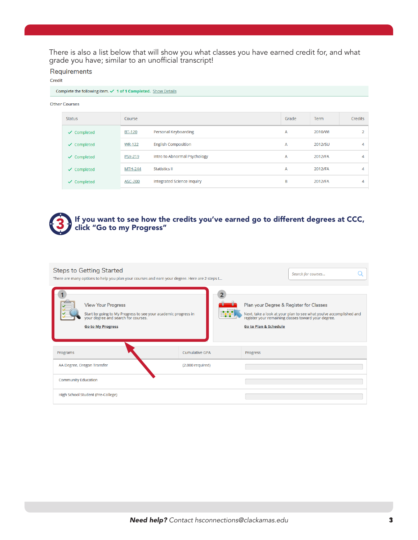There is also a list below that will show you what classes you have earned credit for, and what grade you have; similar to an unofficial transcript!

Requirements

Credit

#### Complete the following item. √ 1 of 1 Completed. Show Details

| <b>Other Courses</b> |
|----------------------|
|                      |

| Status                 | Course         |                              | Grade | <b>Term</b> | <b>Credits</b> |
|------------------------|----------------|------------------------------|-------|-------------|----------------|
| $\checkmark$ Completed | <b>BT-120</b>  | Personal Keyboarding         | A     | 2010/WI     |                |
| $\checkmark$ Completed | <b>WR-122</b>  | <b>English Composition</b>   | A     | 2012/SU     | 4              |
| $\checkmark$ Completed | <b>PSY-219</b> | Intro to Abnormal Psychology | A     | 2012/FA     | 4              |
| $\checkmark$ Completed | <b>MTH-244</b> | <b>Statistics II</b>         | A     | 2012/FA     | 4              |
| $\checkmark$ Completed | <b>ASC-200</b> | Integrated Science Inquiry   | B     | 2012/FA     | 4              |

## 3 If you want to see how the credits you've earned go to different degrees at CCC, click "Go to my Progress"

| <b>Steps to Getting Started</b><br>There are many options to help you plan your courses and earn your degree. Here are 2 steps t                               | Search for courses    |                                                                                                                                                                                                          |
|----------------------------------------------------------------------------------------------------------------------------------------------------------------|-----------------------|----------------------------------------------------------------------------------------------------------------------------------------------------------------------------------------------------------|
| <b>View Your Progress</b><br>Start by going to My Progress to see your academic progress in<br>your degree and search for courses.<br><b>Go to My Progress</b> | ामग                   | Plan your Degree & Register for Classes<br>Next, take a look at your plan to see what you've accomplished and<br>register your remaining classes toward your degree.<br><b>Go to Plan &amp; Schedule</b> |
| Programs                                                                                                                                                       | <b>Cumulative GPA</b> | Progress                                                                                                                                                                                                 |
| AA Degree, Oregon Transfer                                                                                                                                     | (2.000 required)      |                                                                                                                                                                                                          |
| <b>Community Education</b>                                                                                                                                     |                       |                                                                                                                                                                                                          |
| High School Student (Pre-College)                                                                                                                              |                       |                                                                                                                                                                                                          |